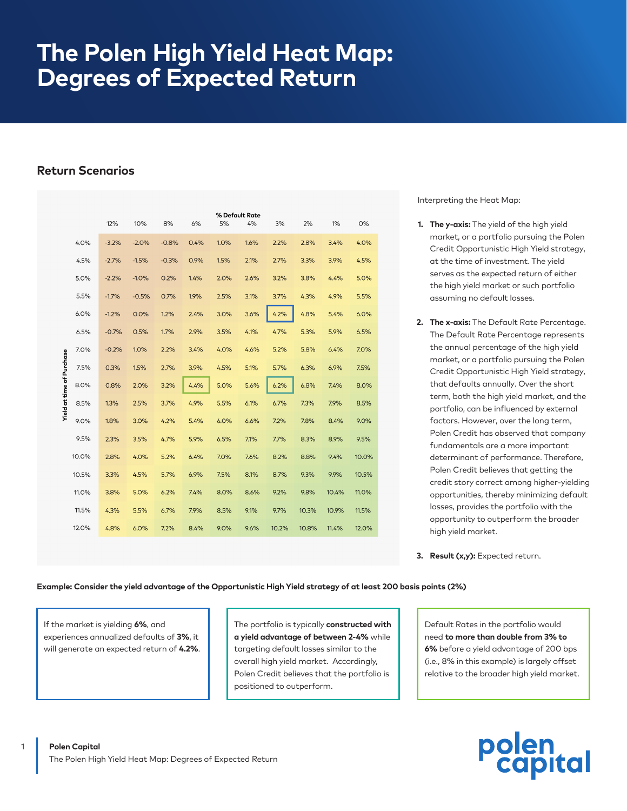# **The Polen High Yield Heat Map: Degrees of Expected Return**

# **Return Scenarios**

|                           |       | 12%<br>10%<br>8%<br>6% |         |         | % Default Rate<br>5%<br>4%<br>3% |      |      | 2%    | $1\%$ | 0%    |       |
|---------------------------|-------|------------------------|---------|---------|----------------------------------|------|------|-------|-------|-------|-------|
|                           | 4.0%  | $-3.2%$                | $-2.0%$ | $-0.8%$ | 0.4%                             | 1.0% | 1.6% | 2.2%  | 2.8%  | 3.4%  | 4.0%  |
| Yield at time of Purchase | 4.5%  | $-2.7%$                | $-1.5%$ | $-0.3%$ | 0.9%                             | 1.5% | 2.1% | 2.7%  | 3.3%  | 3.9%  | 4.5%  |
|                           | 5.0%  | $-2.2%$                | $-1.0%$ | 0.2%    | 1.4%                             | 2.0% | 2.6% | 3.2%  | 3.8%  | 4.4%  | 5.0%  |
|                           | 5.5%  | $-1.7%$                | $-0.5%$ | 0.7%    | 1.9%                             | 2.5% | 3.1% | 3.7%  | 4.3%  | 4.9%  | 5.5%  |
|                           | 6.0%  | $-1.2%$                | 0.0%    | 1.2%    | 2.4%                             | 3.0% | 3.6% | 4.2%  | 4.8%  | 5.4%  | 6.0%  |
|                           | 6.5%  | $-0.7%$                | 0.5%    | 1.7%    | 2.9%                             | 3.5% | 4.1% | 4.7%  | 5.3%  | 5.9%  | 6.5%  |
|                           | 7.0%  | $-0.2%$                | 1.0%    | 2.2%    | 3.4%                             | 4.0% | 4.6% | 5.2%  | 5.8%  | 6.4%  | 7.0%  |
|                           | 7.5%  | 0.3%                   | 1.5%    | 2.7%    | 3.9%                             | 4.5% | 5.1% | 5.7%  | 6.3%  | 6.9%  | 7.5%  |
|                           | 8.0%  | 0.8%                   | 2.0%    | 3.2%    | 4.4%                             | 5.0% | 5.6% | 6.2%  | 6.8%  | 7.4%  | 8.0%  |
|                           | 8.5%  | 1.3%                   | 2.5%    | 3.7%    | 4.9%                             | 5.5% | 6.1% | 6.7%  | 7.3%  | 7.9%  | 8.5%  |
|                           | 9.0%  | 1.8%                   | 3.0%    | 4.2%    | 5.4%                             | 6.0% | 6.6% | 7.2%  | 7.8%  | 8.4%  | 9.0%  |
|                           | 9.5%  | 2.3%                   | 3.5%    | 4.7%    | 5.9%                             | 6.5% | 7.1% | 7.7%  | 8.3%  | 8.9%  | 9.5%  |
|                           | 10.0% | 2.8%                   | 4.0%    | 5.2%    | 6.4%                             | 7.0% | 7.6% | 8.2%  | 8.8%  | 9.4%  | 10.0% |
|                           | 10.5% | 3.3%                   | 4.5%    | 5.7%    | 6.9%                             | 7.5% | 8.1% | 8.7%  | 9.3%  | 9.9%  | 10.5% |
|                           | 11.0% | 3.8%                   | 5.0%    | 6.2%    | 7.4%                             | 8.0% | 8.6% | 9.2%  | 9.8%  | 10.4% | 11.0% |
|                           | 11.5% | 4.3%                   | 5.5%    | 6.7%    | 7.9%                             | 8.5% | 9.1% | 9.7%  | 10.3% | 10.9% | 11.5% |
|                           | 12.0% | 4.8%                   | 6.0%    | 7.2%    | 8.4%                             | 9.0% | 9.6% | 10.2% | 10.8% | 11.4% | 12.0% |

Interpreting the Heat Map:

- **1. The y-axis:** The yield of the high yield market, or a portfolio pursuing the Polen Credit Opportunistic High Yield strategy, at the time of investment. The yield serves as the expected return of either the high yield market or such portfolio assuming no default losses.
- **2. The x-axis:** The Default Rate Percentage. The Default Rate Percentage represents the annual percentage of the high yield market, or a portfolio pursuing the Polen Credit Opportunistic High Yield strategy, that defaults annually. Over the short term, both the high yield market, and the portfolio, can be influenced by external factors. However, over the long term, Polen Credit has observed that company fundamentals are a more important determinant of performance. Therefore, Polen Credit believes that getting the credit story correct among higher-yielding opportunities, thereby minimizing default losses, provides the portfolio with the opportunity to outperform the broader high yield market.

## **Example: Consider the yield advantage of the Opportunistic High Yield strategy of at least 200 basis points (2%)**

If the market is yielding **6%**, and experiences annualized defaults of **3%**, it will generate an expected return of **4.2%**. The portfolio is typically **constructed with a yield advantage of between 2-4%** while targeting default losses similar to the overall high yield market. Accordingly, Polen Credit believes that the portfolio is positioned to outperform.

Default Rates in the portfolio would need **to more than double from 3% to 6%** before a yield advantage of 200 bps (i.e., 8% in this example) is largely offset relative to the broader high yield market.



**<sup>3.</sup> Result (x,y):** Expected return.